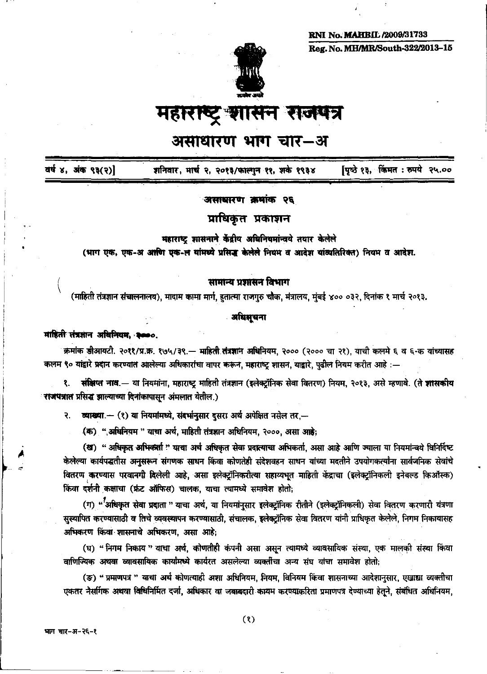**RNI No. MAHBIL /2009/31733** Reg. No. MH/MR/South-322/2013-15



महाराष्ट्र शासन राजपत्र

# असाधारण भाग चार–अ

पृष्ठे १३, किंमत : रुपये २५ वर्ष ४, अंक ९३(२)] शनिवार, मार्च २, २०१३/फाल्गुन ११, शके १९३४

## असाधारण क्रमांक २६

प्राधिकृत प्रकाशन

## महाराष्ट्र शासनाने केंद्रीय अधिनियमांन्वये तयार केलेले

(भाग एक, एक-अ अप्ती एक-ल यांमध्ये प्रसिद्ध केलेले नियम व आदेश यांव्यतिरिक्त) नियम व आदेश.

# सामान्य प्रशासन विभाग

(माहिती तंत्रज्ञान संचालनालय), मादाम कामा मार्ग, हुतात्मा राजगुरु चौक, मंत्रालय, मुंबई ४०० ०३२, दिनांक १ मार्च २०१३.

# अधिमुचना

### माहिती तंत्रज्ञान अधिनियम. २०००.

क्रमांक डीआयटी. २०११/प्र.क्र. १७५/३९. - माहिती तंत्रज्ञान अधिनियम, २००० (२००० चा २१), याची कलमे ६ व ६-क यांच्यासह कलम ९० यांद्वारे प्रदान करण्यात आलेल्या अधिकारांचा वापर करून, महाराष्ट्र शासन, याद्वारे, पुढील नियम करीत आहे :—

संक्षिप्त नाव.— या नियमांना, महाराष्ट्र माहिती तंत्रज्ञान (इलेक्ट्रॉनिक सेवा वितरण) नियम, २०१३, असे म्हणावे. (ते शासकीय  $\mathbf{R}$ . राजपत्रात प्रसिद्ध झाल्याच्या दिनांकापासून अमलात येतील.)

₹. व्याख्या.— (१) या नियमांमध्ये, संदर्भानुसार दुसरा अर्थ अपेक्षित नसेल तर.—

(क) ",अधिनियम " याचा अर्थ, माहिती तंत्रज्ञान अधिनियम, २०००, असा आहे;

(ख) "अधिकृत अभिकर्ता " याचा अर्थ अधिकृत सेवा प्रदात्याचा अभिकर्ता, असा आहे आणि ज्याला या नियमांन्वये विनिर्दिष्ट केलेल्या कार्यपद्धतीस अनुसरून संगणक साधन किंवा कोणतेही संदेशवहन साधन यांच्या मदतीने उपयोगकर्त्यांना सार्वजनिक सेवांचे वितरण करण्यास परवानगी दिलेली आहे, असा इलेक्ट्रॉनिकरीत्या सहाय्यभूत माहिती केंद्राचा (इलेक्ट्रॉनिकली इनेबल्ड किऑस्क) किंवा दर्शनी कक्षाचा (फ्रंट ऑफिस) चालक, याचा त्यामध्ये समावेश होतो;

(ग) "<sup>7</sup>अधिकृत सेवा प्रदाता " याचा अर्थ, या नियमांनुसार इलेक्ट्रॉनिक रीतीने (इलेक्ट्रॉनिकली) सेवा वितरण करणारी यंत्रणा सुस्थापित करण्यासाठी व तिचे व्यवस्थापन करण्यासाठी, संचालक, इलेक्ट्रॉनिक सेवा वितरण यांनी प्राधिकृत केलेले, निगम निकायासह अभिकरण किंवा शासनाचे अभिकरण, असा आहे;

(घ) "निगम निकाय " याचा अर्थ, कोणतीही कंपनी असा असून त्यामध्ये व्यावसायिक संस्था, एक मालको संस्था किंवा वाणिज्यिक अथवा व्यावसायिक कार्यांमध्ये कार्यरत असलेल्या व्यक्तींचा अन्य संघ यांचा समावेश होतो;

(ङ) "प्रमाणपत्रं " याचा अर्थं कोणत्याही अशा अधिनियम, नियम, विनियम किंवा शासनाच्या आदेशानुसार, एखाद्या व्यक्तीचा एकतर नैसर्गिक अथवा विधिनिर्मित दर्जा, अधिकार वा जबाबदारी कायम करण्याकरिता प्रमाणपत्र देण्याच्या हेतूने, संबंधित अधिनियम,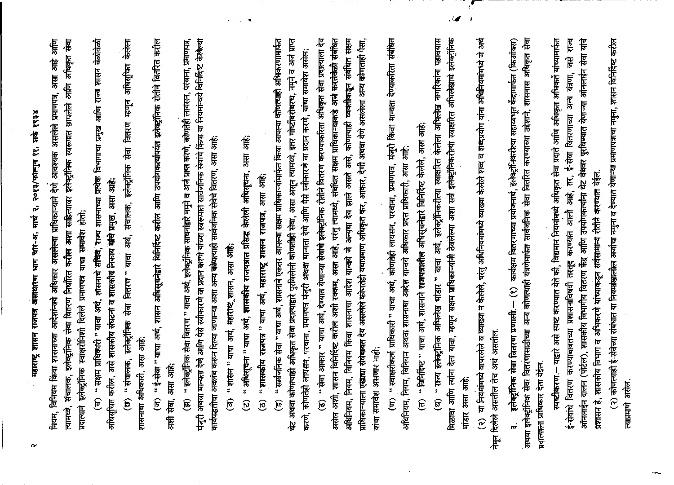महाराष्ट्र शासन राजपत्र असाधारण भाग चार-अ, मार्च २, २०१३/फाल्गुन ११, शर्क १९३४

त्यामध्ये, संचालक, इलेक्ट्रॉनिक सेवा वितरण निर्धारित करील अशा साहित्यावर इलेक्ट्रॉनिक स्वरूपात छापलेले आणि अधिकृत सेवा नियम, विनियम किंवा शासनाच्या आदेशांन्वये अधिकार असलेल्या प्राधिकाऱ्याने देणे आवश्यक असलेले प्रमाणपत्र, असा आहे आणि प्रदात्याने इलेक्ट्रॉनिक स्वाक्षरीनिशी दिलेले प्रमाणपत्र याचा समावेश होतो.

(च) " सक्षम प्राधिकारी " याचा अर्थ, शासनाचे सचिवे, राज्य शासनाच्या प्रत्येक विभागाचा प्रमुख आणि राज्य शासन वेळोवेळी अधिसूचित करील, असे शासकीय संघटना व शासकीय निकाय यांचे प्रमुख, असा आहे; (छ) " संचालक, इलेक्ट्रॉनिक सेवा वितरण " याचा अर्थ, संचालक, इलेक्ट्रॉनिक सेवा वितरण म्हणून अधिसूचित केलेला शासनाचा अधिकारी, असा आहे;

(ज) " ई-सेवा " याचा अर्थ, शासन अधिसूचनेद्वारे विनिर्दिष्ट करील आणि उपयोगकर्त्यापर्यंत इलेक्ट्रॉनिक रीतीने वितरित करील अशी सेवा, असा आहे; (झ) " इलेक्ट्रॉनिक सेवा वितरण " याचा अर्थ, इलेक्ट्रॉनिक साधनांद्वारे नमुने व अर्ज प्राप्त करणे, कोणतेही लायसन, परवानां, प्रमाणपत्र, मंजुरी अथवा मान्यता रेणे आणि पैसे स्वीकारणे वा प्रदान करणे यांच्या स्वरूपात सार्वजनिक सेवांचे किंवा या नियमांन्वये विनिर्दिष्ट केलेल्या कार्यपद्धतीचा अवलंब करून दिल्या जाणान्या अशा अन्य कोणलाही सार्वजनिक सेवेचे वितरण, असा आहे:

" शासन " याचा अर्थ, महाराष्ट्र शासन, असा आहे; তি

" अधिसूचना " याचा अर्थ, **शासकीय राजपत्रात प्रसिद्ध केलेली अधिसू**चना, असा आहे;  $\widehat{\omega}$ 

"शासकीय राजपत्र" याचा अर्थ, महाराष्ट्र शासन राजपत्र, असा आहे;  $\widehat{B}$ 

(उ) " सार्वजनिक सेवा " याचा अर्थ, शासनाने एकतर आपल्या सक्षम प्राधिकाऱ्यांमार्फत किंवा आपल्या कोणत्याही अभिकरणामार्फत थेट अथवा कोणत्याही अधिकृत सेवा प्रदात्याद्वारे पुरविलेली कोणतीही सेवा, असा असून त्यामध्ये, इतर गोष्टींबरोबरच, नमुने व अर्ज प्राप्त करणे, कोणतेही लायसन, परवाना, प्रमाणपत्र मंजुरी अथवा मान्यता देणे आणि पैसे स्वीकारणे वा प्रदान करणे, यांचा समावेश असेल: (ढ) " सेवा आकार " याचा अर्थ, देण्यात येणाऱ्या सेवांचे इलेक्ट्रॉनिक रीतीने वितरण करण्याकरिता अधिकृत सेवा प्रदात्याला देय असेल अशी, शासन विनिर्दिष्ट करील अशी रक्कम, असा आहे, परंतु त्यामध्ये, संबंधित सक्षम प्राधिकाऱ्याकडे अर्ज करतेवेळी संबंधित अधिनियम, नियम, विनियम किंवा शासनाचा आदेश यान्वये जे अन्यथा देव झाले असते असे, कोणत्याही व्यक्तीकडून संबंधित सक्षम प्राधिकाऱ्याला एखाद्या सेवेबाबत देय असलेले कोणतेही यथाप्रमाण अधिकृत कर, आकार, देणी अथवा येणे असलेला अन्य कोणताही पैसा, यांचा समावेश असणार नाही; " स्वाक्षरीकर्ता प्राधिकारी " याचा अर्थ, कोणतेही लायसन, परवाना, प्रमाणपत्र, मंजुरी किंवा मान्यता देण्याकरिता संबंधित अधिनियम, नियम, विनियम अथवा शासनाचा आदेश यान्वये अधिकार प्रदत्त प्राधिकारी, असा आहे;  $\widehat{\mathbf{E}}$ 

(त) " विनिर्दिष्ट " याचा अर्थ, शासनाने राजपत्रातील अधिसूचनेद्वारे विनिर्दिष्ट केलेले, असा आहे;

मिळावा आणि त्यांना देता यावा, म्हणून सक्षम प्राधिकाऱ्यांनी ठेवलेल्या अशा सर्व इलेक्ट्रॉनिकरीत्या स्वाक्षरित अभिलेखाचे इलेक्ट्रॉनिक (थ) " राज्य इलेक्ट्रॉनिक अभिलेख भांडार " याचा अर्थ, इलेक्ट्रॉनिकरीत्या स्वाक्षरित केलेला अभिलेख नागरिकांना पहावयास भांडार असा आहे;

 $\mathscr{L}$ 

(२) था नियमांमध्ये वापरलेले व व्याख्या न केलेले, परंतु अधिनियमांमध्ये व्याख्या केलेले शब्द व शब्दप्रयोग यांना अधिनियमांमध्ये जे अर्थ नेमून दिलेले असतील तेच अर्थ असतील.

अथवा इलेक्ट्रॉनिक सेवा वितरणासाठीच्या अन्य कोणत्याही यंत्रणेमार्फत सार्वजनिक सेवा वितरित करण्याच्या उद्देशाने, शासनास अधिकृत सेवा कार्यक्षम वितरणाच्या प्रयोजनार्थ, इलेक्ट्रॉनिकरीत्या सहाय्यभूत केंद्रामार्फत (किऑक्स) इलेक्ट्रॉनिक सेवा वितरण प्रणाली. -- (१) प्रदात्याला प्राधिकार देता येईल. m

अनलाईन दालन (पोर्टल), शासकीय विभागीय वितरण केंद्र आणि उपयोगकर्त्यांना थेट वेबवर पुरविण्यात येणाऱ्या ऑनलाईन सेवा यांचे स्पष्टीकरण.– याद्वारे असे स्पष्ट करण्यात येते की, विद्यमान नियमांमध्ये अधिकृत सेवा प्रदाते आणि अधिकृत अभिकर्ते यांच्यामार्फत ई-सेवांचे वितरण करण्याबाबतच्या प्रशासनाविषयी तरतूर करण्यात आली आहे, तर, ई-सेवा वितरणाच्या अन्य यंत्रणा, जसे राज्य प्रशासन हे, शासकीय विभाग व अभिकरणे यांच्याकडून सर्वसामान्य रीतीने करण्यात येईल. (२) कोणत्याही ई-सेवेच्या संबंधात या नियमांखालील अर्जाचा नमुना व देण्यात येणाऱ्या प्रमाणपत्राचा नमुना, शासन विनिर्दिष्ट करील त्याप्रमाणे असेल

 $\sim$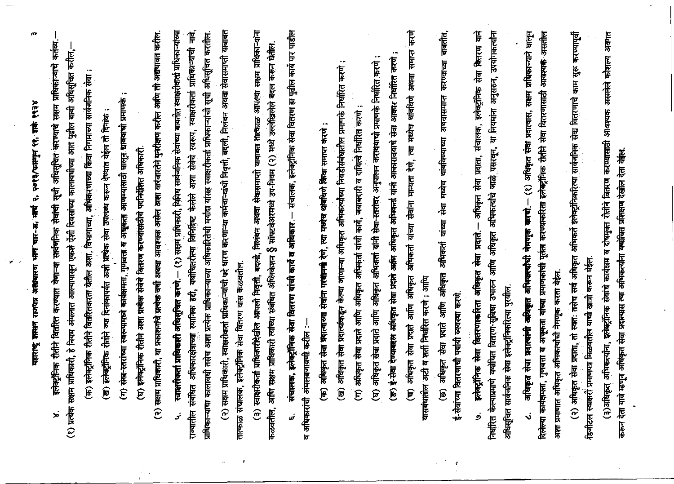| m<br>$x \in \mathcal{S}$<br>२, २०१३/फाल्गुन ११, शके<br>महाराष्ट्र शतसन राजपत्र असंखारण भाषा चार-अं भाषा                                                                                                                                                                                                      |
|--------------------------------------------------------------------------------------------------------------------------------------------------------------------------------------------------------------------------------------------------------------------------------------------------------------|
| कर्तव्य<br>इलेक्ट्रॉनिक रीतीने वितरित करण्यात रोणाऱ्या सार्वभनिक सेवांची सूची अधिसूचित करण्याचे सक्षम प्राधिकाऱ्याचे<br>$\dot{\mathbf{z}}$                                                                                                                                                                   |
| (१) प्रत्येक सक्षम प्राधिकारी, हे नियम अंगलात आल्यापासून एकशे ऐंशी दिवसांच्या कालावधीच्या आत पुढील बाबी अधिसूचित करील,                                                                                                                                                                                       |
| (क) इलेक्ट्रॉनिक रीतीने वितरितकरता येतील अशा, विभागाच्या, अभिकरणाच्या किंवा निगमाच्या सार्वजनिक सेवा                                                                                                                                                                                                         |
| ) इलेक्ट्रॉनिक रीतीने ज्या दिनांकापर्यंत अशी प्रत्येक सेवा उपलब्ध करून देण्यात येईल तो दिनांक :<br>್ರ                                                                                                                                                                                                        |
| सेवा-स्तरांच्या स्वरूपामध्ये कार्यक्षमता, गुणवत्ता व अन्नुकृता आणण्यासाठी घालून द्यावयाची प्रमाणके<br>$\widehat{\epsilon}$                                                                                                                                                                                   |
| इलेक्ट्रॉनिक रीतीने अशा प्रत्येक सेवेचे वितरण करण्यांसाठीचे पदनिर्देशित अधिकारी<br>$\widehat{\boldsymbol{E}}$                                                                                                                                                                                                |
| (२) सक्षम प्राधिकारी, या प्रकाशनांचे प्राचेक वर्षा अथवा आवश्यक असेल वारंवारतेने पुनरीक्षण करील आणि ती अद्यगवत करील                                                                                                                                                                                           |
| (१) सक्षमं प्राधिकारी, विविध सार्वजनिक सेवांच्या बाबतीत स्वाक्षरीकर्ता प्राधिकाऱ्यांच्या<br>स्वाक्षरीकर्ता प्राधिकारी अधिसूचित करणे.—<br>نح                                                                                                                                                                  |
| हिं<br>अधिसूचित करतील.<br>स्वरूप, स्वाक्षरीकर्ता प्राधिकाऱ्यांची<br>प्राधिकाऱ्याचा कालावधी तसेच अशा प्रत्येक प्राधिकाऱ्याच्या अधिकारितेची मर्यादा यांसह स्वाक्षरीकर्ता प्राधिकाऱ्यांची सूची<br>怎<br>अशा<br>केलेले<br>ययोचितरीत्या विनिर्सिष्ट<br><b>E</b><br>अधिकारक्षेत्राच्या स्थानिक<br>राज्यातील संबंधित |
| धारण करणाऱ्या कर्मचाऱ्यांची निवृत्ती, बदली, निलंबन अथवा सेवासमाप्ती याबाबत<br>प्राधिकारी, स्वाक्षरीकर्ता प्राधिकाऱ्यांची पदे<br>(२) सक्षम                                                                                                                                                                    |
| <b>F, इलेक्ट्रॉनिक सेवा वितरण यांस कळवतील</b><br>तात्काळ संचालव                                                                                                                                                                                                                                              |
| निलंबन अथवा सेवासमाप्ती याबाबत तात्काळ आपल्या सक्षम प्राधिकाऱ्यांना<br>(३) स्वाक्षरीकर्ता प्राधिकारीदेखील आपली निवृत्ती, बदली,                                                                                                                                                                               |
| बद्ल करून घेतील<br>सॉफ्टवेअरमध्ये उप-नियम (२) मध्ये उल्लेखिलेले<br>w<br>कळवतील, आणि सक्षम प्राधिकारी त्यांच्या संबंधित ॲप्लिकेशन                                                                                                                                                                             |
| संचालक, इलेक्ट्रॉनिक सेवा वितरण हा पुढील कार्य पार पाडील<br>संचालक, इलेक्ट्रॉनिक सेवा वितरण यांची कार्य व अधिकार<br>.<br>س                                                                                                                                                                                   |
| व अधिकारांची अंमलबजावणी करील                                                                                                                                                                                                                                                                                 |
| अधिकृत सेवा प्रदात्याच्या सेवांना परबानमा देशे, त्या मध्येष थांबविणे किंवा समाप्त करणे :<br>$\widehat{\mathbf{F}}$                                                                                                                                                                                           |
| $\cdot$<br>अधिकृत सेवा प्रदात्यांकडून केल्या जाणाऱ्या अधिकृत अभिकत्यांच्या निवडीसंबंधातील प्रमाणके निर्धारित करणे<br>ළ                                                                                                                                                                                       |
| अधिकृत सेवा प्रदाते आणि अधिकृत अभिकर्ता यांची कार्य, जबाबदारी व दायित्वे निर्धारित करणे<br>$\boldsymbol{\widehat{\epsilon}}$                                                                                                                                                                                 |
| अधिकृत सेवा प्रदाते आणि अधिकृत अभिकर्ता यांनी सेवा-स्तरांवर अनुपालन करावयाची प्रमाणके निर्धारित करणे<br>$\mathbf{\widehat{E}}$                                                                                                                                                                               |
| हि<br>ई-सेवा देण्याबहल अधिकृत सेवा प्रदाते आधिकृत अभिवकर्ता यांनी आकारावयाचे सेवा आकार निर्धारित<br>$\widehat{\mathbf{b}}$                                                                                                                                                                                   |
| $\frac{1}{6}$<br>समाप्त<br>उपया<br>मध्येच थांबविणे<br>卮<br>$\overline{\mathfrak{k}}$<br>सेवांना मान्यता<br>अभिकर्ता यांच्या<br>आणि अधिकृत<br>अधिकृत सेवा प्रदाति<br>$\widehat{\mathbf{E}}$                                                                                                                   |
| ल अटी व शर्ती निर्धारित करणे : आणि<br>यासबंधाती                                                                                                                                                                                                                                                              |
| बाबतीत,<br>करण्याच्या<br>अयवासमाप्त<br>थांबविण्याच्या<br>मध्येच<br>स्ब<br>यांच्या<br>अभिकर्ता<br>आणि अधिकृत<br>सेवा प्रदाते<br>अधिकृत<br>$\widehat{\mathbf{B}}$                                                                                                                                              |
| वितरणाची पर्यायी व्यवस्था करणे<br>इ-सेवाच्या                                                                                                                                                                                                                                                                 |
| 厝<br>सेवा वितरण<br>इलेक्ट्रॉनिक<br>संचालक,<br>प्रदाता,<br>स्त्र<br>अधिकृत<br>下口<br>अधिकृत सेवा<br>वितरणाकरिता<br>इलेक्ट्रॉनिक सेवा<br>ś                                                                                                                                                                      |
| जयांगकर्त्या<br>अनुसरुन,<br>या नियमांना<br>प्सरवन,<br>倡<br>अभिकर्त्याचे<br>आणि अधिकृत<br>निर्धारित केल्याप्रमाणे यथोचित वितरण-सुविधा उभारुन<br>अधिसूचित सार्वजनिक सेवा इलेक्ट्रॉनिकरित्या पुरवील                                                                                                             |
| (१) अधिकृत सेवा प्रदात्यास, सक्षम प्राधिकाऱ्याने घालून<br>अधिकृत अभिवास्यांची नेमणूक करणे.<br>प्रदालांनी<br>अधिकृत सेवा<br>$\ddot{\bm{\mathsf{v}}}$                                                                                                                                                          |
| 下行 计中心 计数字<br>सेवा वितरणासाठी<br>अक्कता यांच्या प्रमाणकांची पूर्तता करण्याकरिता इलेक्ट्रॉनिक रीतीने<br>दिलेल्या कार्यक्षमता, गुणवत्ता व                                                                                                                                                                      |
| अशा प्रमाणात अधिकृत अभिकत्यांची नेमणूक करता येईल                                                                                                                                                                                                                                                             |
| करण्यापूर्वी<br>Ę<br>$\frac{1}{6}$<br>इलेक्ट्रॉनिकरित्या सार्वजनिक सेवा वितरणाचे<br>(२) अधिकृत सेवा प्रदाता, तो स्वतः तसेच सर्व अधिकृत अभिकर्ते<br>डिजीटल स्वाक्षरी प्रमाणपत्र मिळवतील याची खात्री करून घेईल.                                                                                                |
| अवगत<br>कोशल<br>असलेट<br>आवश्यक<br>(३)अधिकृत अभिकल्पांना, इलेक्ट्रॉनिक सेवांचे कार्यक्षम व दोषमुक्त रोतीने वितरण करण्यासाठी                                                                                                                                                                                  |
| करून देता यावे म्हणून अधिकृत सेवा प्रदात्मस त्या अभिकर्त्यांना यश्मीचत प्रशिक्षण देखील देता येहेत                                                                                                                                                                                                            |
|                                                                                                                                                                                                                                                                                                              |

 $\omega \rightarrow$ 

 $\frac{2}{T}$  .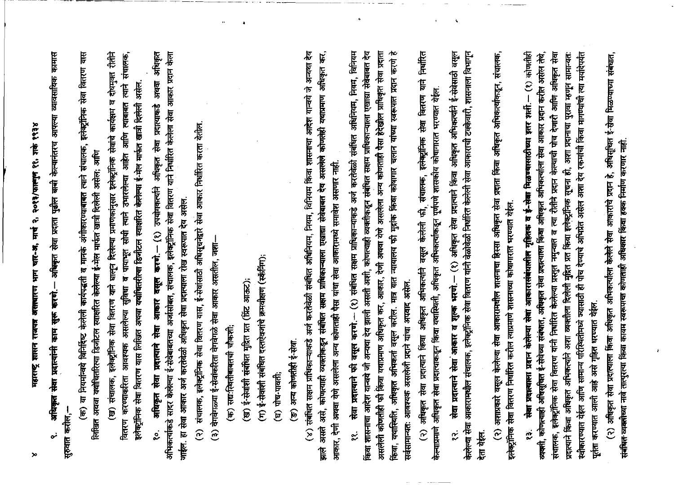महाराष्ट्र शासन राजपत्र असल्यारण भाग चार-अ, मार्च २, २०१३/फाल्गुन ११, शके १९३४

अधिकृत सेवा प्रदात्वांनी काम सुरू करणे.— अधिकृत सेवा प्रदाता पुढील वाबी केल्यानंतरच आपल्या व्यावसायिक कामास सुरुवात करील, نړ

(क) या नियमांन्वये विनिर्दिष्ट केलेली कार्यपद्धती व मानके अंगीकारण्याबाबत त्याने संचालक, इलेक्ट्रॉनिक सेवा वितरण यास लिखित अथवा यथोचितरित्या डिजीटल स्वाक्षरित केलेल्या ई-मेल मार्फत खात्री दिलेली असेल; आणि (ख) संचालक, इलेक्ट्रॉनिक सेवा वितरण याने घालून दिलेल्या प्रमाणकांनुसार इलेक्ट्रॉनिक सेवांचे कार्यक्षम व दोषमुक्त रीतीने वितरण करण्याकरिता आवश्यक असलेल्या सुविधा व पायाभूत सोयी त्याने उभारलेल्या आहेत आणि त्याबाबत त्याने संचालक, इलेक्ट्रॉनिक सेवा वितरण यास लिखित अथवा यथोधितरीत्या डिजीटल स्वाक्षरित केलेल्या ई-मेल मार्फत खात्री दिलेली असेल. अधिकृत सेवा प्रदात्याने सेवा आकार वसूल करणे. – (१) उपयोगकर्त्याने अधिकृत सेवा प्रदात्याकडे अथवा अधिकृत अभिकल्पकिडे सादर केलेल्या ई-सेवेबाबतच्या अजसिबेत, संचालक, इलेक्ट्रॉनिक सेवा वितरण याने निर्धारित केलेला सेवा आकार प्रदान केला जाईल. हा सेवा आकार अर्ज करतेवेळी अधिकृत सेवा प्रदात्याला रोख स्वरूपात देय असेल. ಲ್ಲಿ

(२) संचालक, इलेक्ट्रॉनिक सेवा वितरण यास, ई-सेवांसाठी अधिसूचनेद्वारे सेवा आकार निर्धारित करता येतील.

(३) वेगवेगळ्या ई-सेवांकरिता वेगवेगळे सेवा आकार असतील, जशा-

(क) सद्यःस्थितीबाबतची चौकशीः

(ख) ई-सेवांशी संबंधित मुद्रित प्रत (प्रिंट आऊट);

(ग) ई-सेवांशी संबंधित दस्तऐवजांचे क्रमवीक्षण (स्कॅनिंग);

 $(\overline{q})$   $\overline{q}$   $\overline{r}$   $\overline{r}$   $\overline{r}$   $\overline{r}$   $\overline{r}$ 

(ङ) अन्य कोणतीही ई-सेवा.

(४) संबंधित सक्षम प्राधिकाऱ्याकडे अर्ज करतेवेळी संबंधित अधिनियम, नियम, विनियम किंवा शासनाचा आदेश यान्वये जे अन्यथा देय झाले असते असे, कोणत्याही व्यक्तीकडून संबंधित संसाम प्राधिकान्याला एखाद्या सेवेबाबत देव असलेले कोणतेही यथाप्रमाण अधिकृत कर, आकार, देणी अथवा येणे असलेला अन्य कोणताही पैसा यांचा सेवा आकारामध्ये समावेश असणार नाही. सेवा प्रदात्याने फी वसूल करणे.-- (१) संबंधित सक्षम प्राधिका-याकडे अर्ज करतेवेळी संबंधित अधिनियम, नियम, विनियम किंवा शासनाचा आदेश यान्वये जी अन्यथा देय झाली असती अशी, कोणत्याही व्यक्तीकडून संबंधित सक्षम प्राधिकाऱ्याला एखाद्या सेवेबाबत देय असलेली कोणतीही फी किंवा यथाप्रमाण अधिकृत कर, आकार, देणी अथवा येणे असलेला अन्य कोणताही पैसा हेदेखील प्राधिकृत सेवा प्रदाता किंवा, यथास्थिति, अधिकृत अभिकर्ता वसूल करील. मात्र यात न्यायालय फी मुद्रांक किंवा कोषागार चलान यांच्या स्वरूपात प्रदान करणे हे सर्वसामान्यतः आवश्यक असलेली प्रदाने यांचा अपवाद असेल. ×.

(२) अधिकृत सेवा प्रदात्याने किंवा अधिकृत अभिकत्यनि वसूल केलेली फी, संचालक, इलेक्ट्रॉनिक सेवा वितरण याने निर्धारित केल्याप्रमाणे अधिकृत सेवा प्रदात्याकडून किंवा यथास्थिती, अधिकृत अभिकार्त्याकडून पूर्णपणे शासकीय कोषागारात भरण्यात येईल. सेवा प्रदात्याने सेवा आकार व शुल्क भरणे. – (१) अधिकृत सेवा प्रदात्याने किंवा अधिकृत अभिकत्यांने ई-सेवेसाठी वसूल केलेल्या सेवा आकारामधील संचालक, इलेक्ट्रॉनिक सेवा वितरण यांनी वेळोवेळी निर्धारित केलेली सेवा आकाराची टक्केवारी, शासनाला विभागून ઌ रेता येईल.

 $\mathbf{t}$ 

(२) अशाप्रकारे वसूल केलेल्या सेवा आकारामधील शासनाचा हिस्सा अधिकृत सेवा प्रदाता किंवा अधिकृत अभिकर्त्याकडून, संचालक, इलेक्ट्रॉनिक सेवा वितरण निर्धारित करील त्याप्रमाणे शासनाच्या कोषागारात भरण्यात येईल. क्तेशा प्रदात्वाला प्रदान केलेल्या सेवा आकारासंबंधालील गृहितक व ई-सेवा मिळण्यासाठीच्या इतर शर्ती.— (१) कोणतीही व्यक्ती, कोणत्वाही अधिसूचित ई-सेवेच्या संबंधात, अधिकृत सेवा प्रदात्याला किंवा अधिकृत अभिकर्त्याला सेवा आकार प्रदान करीत असेल तेथे, संचालक, इलेक्ट्रॉनिक सेवा वितरण यांनी निर्धारित केलेल्या प्रस्तुत नमुन्यात व त्या रौतीने प्रदान केल्याची पोच देणारी आणि अधिकृत सेवा प्रदात्याने किंवा अधिकृत अभिकत्यनि अशा व्यक्तीला दिलेली मुद्रित प्रत किंवा इलेक्ट्रॉनिक सूचना हो, अशा प्रदानचा पुरावा म्हणून सामान्यत: स्वीकारण्यात येईल आणि सामान्य परिस्थितीमध्ये ज्यासाठी ही पोच देण्याचे अभिग्नेत असेल अशा देय रकमांची किंवा मागण्यांची त्या मयदिपर्यंत पूर्तता करण्यात आली आहे असे गृहित धरण्यात येईल. ี<br>∝ี

(२) अधिकृत सेवा प्रदात्याला किंवा अधिकृत अभिकल्पीला केलेले सेवा आकारांचे प्रदान हे, अधिसूचित ई-सेवा मिळण्याच्या संबंधात, संबंधित व्यक्सीच्या नावे तात्पुरत्या किंवा कायम स्वरूपाचा कोणताही अधिकार किंवा हक्क निर्माण करणार नाही.

 $\infty$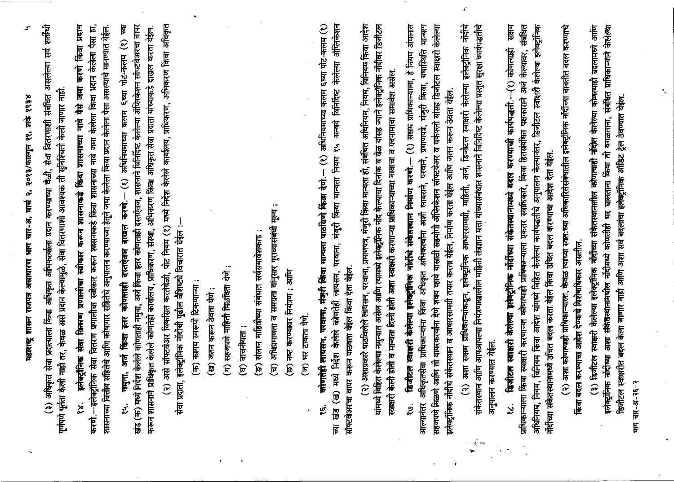प्रहाराष्ट्र शासन राजपत्र असाधारण भाग चार-अ, मार्च २, २०१३/फाल्गुन ११, शर्क १९३४

(३) अधिकृत सेवा प्रदात्याला किंवा अधिकृत अभिकर्त्याला प्रदान करण्याच्या वेळी, सेवा वितरणाशी संबंधित असलेल्या सर्व शर्तीची पूर्णपणे पूर्तता केली नाही तर, केवळ असे प्रदान केल्यामुळे, सेवा वितरणाशी आवश्यक ती सुनिश्चिती केली जाणार नाही.

इलेक्ट्रॉनिक सेवा वितरण प्रणालीचा स्वीकार करून शासनाकडे किंवा शासनाच्या नावे पैसे जमा करणे किंवा प्रदान करणे.--इलेक्ट्रॉनिक सेवा वितरण प्रणालीचा स्वीकार करून शासनाकडे किंवा शासनाच्या नावे जमा केलेला किंवा प्रदान केलेला पैसा हा, शासनाच्या वित्तीय सहितेचे आणि कोशगार संहितेचे अनुपालन करण्याच्या हेतूने जमा केलेला किंवा प्रदान केलेला पैसा असल्याचे मानण्यात येईल. ۼ

नमुना, अर्ज किंदा इतर कोणताही दस्तऐवज दाखल करणे.-- (१) अधिनियमाच्या कलम ६च्या पोट-कलम (१) च्या खंड (क) मध्ये निर्देश केलेले कोणताही नमुना, अर्ज किंवा इतर कोणताही दस्तऐवज, शासनाने विनिर्दिष्ट केलेल्या ॲप्लिकेशन सॉफ्टवेअरचा वापर करून शासनाने प्राधिकृत केलेले कोणतेही कार्यालय, प्राधिकरण, संस्था, अभिकरण किंवा अधिकृत सेवा प्रदाता यांच्याकडे दाखल करता येईल.  $\dot{z}$ 

(२) असे सॉफ्टवेअर विकसित करतेवेळी, पोट नियम (१) मध्ये निर्देश केलेले कार्यालय, प्राधिकरण, अभिकरण किंवा अधिकृत सेवा प्रदाता, इलेक्ट्रॉनिक नोंदींची पुढील वैशिष्ट्ये विचारात घेईल :-

(क) कायम स्वरूपी टिकणाऱ्या :

(ख) जतन करून ठेवता येगे :

(ग) सहजपणे माहिती मिळविता येणे;

(घ) वाचनीयता :

(ङ) संलग्न माहितीच्या संबंधात सर्वसमावेशकर्ता ;

(च) अधिप्रमाणता व समग्रता यांनुसार पुराव्यासंबंधी मूल्य ;

(छ) नष्ट करण्यावर नियंत्रण : आणि

(ज) भर टाकता येणे

च्या खंड (ख) मध्ये निर्देश केलेले कोणतेही लायसन, परवाना, मंजूरी किंवा मान्यता नियम १५ अन्वये विनिर्दिष्ट केलेल्या अंप्लिकेशन कोणतेही लायसन, परवाना, मंजूरी किंवा मान्यता पाठविणे किंवा देणे.-- (१) अधिनियमाच्या कलम ६च्या पोट-कलम (१) सॉफ्टवेअरचा वापर करून पाठवता येईल किंवा देता येईल. (२) अशाप्रकारे पाठविलेले लायसन, परवाना, प्रमाणपत्र, मंजुरी किंवा मान्यता ही, संबंधित अधिनियम, नियम, विनियम किंवा आदेश यांमध्ये विहित केलेल्या नमुन्यात असेल आणि त्यामध्ये इलेक्ट्रॉनिक नॉद केल्याचा दिनांक व वेळ यांसह ज्याने इलेक्ट्रॉनिक नोंदीवर डिजीटल स्वाक्षरी केली होती व मान्यता दिली होती अशा स्वाक्षरी करणाऱ्या प्राधिकाऱ्याच्या नावाचा व पदनामाचा समावेश असेल. डिजीटल स्वाक्षरी केलेल्या इलेक्ट्रॉनिक नॉर्दीचे संकेतस्थान निर्माण करणे.--- (१) सक्षम प्राधिकाऱ्याला, हे नियम अंमलात आल्यानंतर अधिकृतसेवा प्राधिकाऱ्यांना किंवा अधिकृत अभिकत्यांना अशी लायसने, परवाने, प्रमाणपत्रे, मंजुरी किंवा, यथास्थिति मान्यत्न सहजपणे मिळणे आणि ती वापरकर्त्यांना देणे शक्य व्हावे यासाठी सहयोगी ॲप्लिकेशन सॉफ्टवेअर व वर्कफ्लो यांसह डिजीटल स्वाक्षरी केलेल्या इलेक्ट्रॉनिक नोंदींचे संकेतस्थान व आधारसामग्री तयार करता येईल, निर्माण करता येईल आणि जतन करून ठेवता येईल. ۣۊ

(२) अशा सक्षम प्राधिकाऱ्यांकडून, इलेक्ट्रॉनिक आधारसामग्री, माहिती, अर्ज, डिजीटल स्वाक्षरी केलेल्या इलेक्ट्रॉनिक नॉर्दीचे संकेतस्थान आणि आपआपल्या नियंत्रणाखालील माहिती तंत्रज्ञान मत्ता यांच्यासंबंधात शासनाने विनिर्दिष्ट केलेल्या प्रस्तुत सुरक्षा कार्यपद्धतीचे अनुपालन करण्यात येईल.

 $\mathcal{A}^{(n)}$ 

सश्म ग्राधिकाऱ्याला किंवा स्वाक्षरी करणाऱ्या कोणत्याही प्राधिकाऱ्याला एकतर स्वाधिकारे, किंवा हितसंबंधित पक्षकाराने अर्ज केल्यावर, संबंधित अधिनियम, नियम, विनियम किंवा आदेश यांमध्ये विहित केलेल्या कार्यपद्धतीचे अनुपालन केल्यानंतर, डिजीटल स्वाक्षरी केलेल्या इलेक्ट्रॉनिक ढिजीटल स्वाक्षरी केलेल्या इलेक्ट्रॉनिक नोंदींच्या संकेतस्थानामध्ये बदल करण्याची कार्यपद्धती.--(१) कोणत्याही नोंसीच्या संकेतस्थानामध्ये उचित बदल करता येईल किंवा उचित बदल करण्याचा आदेश देता येईल. ڹ

(२) अशा कोणत्याही प्राधिकाऱ्याला, केवळ त्याच्या स्वत:च्या अधिकारितेसंबंधातील इलेक्ट्रॉनिक नॉर्दीच्या बाबतीत बदल करण्याचे किंवा बदल करण्याचा आदेश देण्याचे विशेषाधिकार असतील.

(३) डिजीटल स्वाक्षरी केलेल्या इलेक्ट्रॉनिक नॉर्दीच्या संकेतस्थानांतील कोणत्याही नॉर्दात केलेल्या कोणत्याही बदलामध्ये आणि इलेक्ट्रॉनिक नोंदींच्या अशा संकेतस्थानामधील नोंदीमध्ये कोणतीही भर घालताना किंवा ती वगळताना, संबंधित प्राधिकाऱ्याने केलेल्या डिजीटल स्वाक्षरीत बदल केला जाणार नाही आणि अशा सर्व बदलांचा इलेक्ट्रॉनिक ऑडिट ट्रेल ठेवण्यात येईल.

मान चार-अ-२६-२

 $\mathcal{N}$ 

سی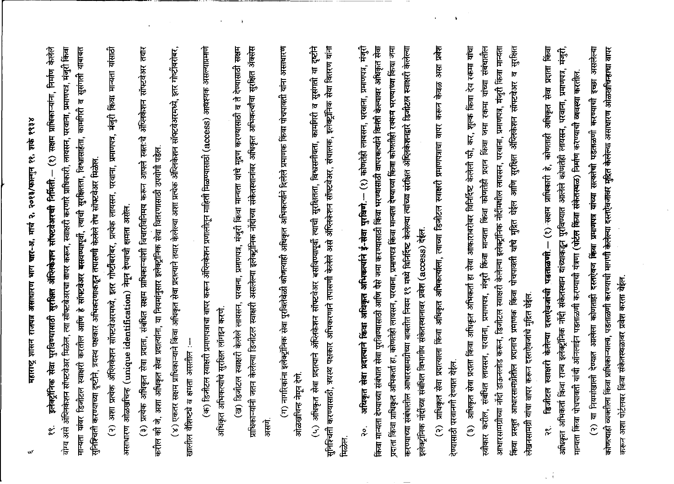महाराष्ट्र शासन राजपत्र असाधारण भाग चार-अ, मार्च २, २०१३/फाल्गुन ११, शके १९३४

मान्यता यांवर डिजोटल स्वाक्षरी करतील आणि हे सॉफ्टवेअर बसवण्यापूर्वी, त्याची सुरक्षितता, विश्वासाहंता, कामगिरी व सुसंगती याबाबत इलेक्ट्रॉनिक सेवा पुरविण्यासाठी सुरक्षित ॲप्लिकेशन सॉफ्टवेअरची निर्मिती.— (१) सक्षम प्राधिकाऱ्यांना, निर्माण केलेले योग्य असे ॲप्लिकेशन सॉफ्टवेअर मिळेल, त्या सॉफ्टवेअरचा वापर करून, स्वाक्षरी करणारे प्राधिकारी, लायसन, परवाना, प्रमाणपत्र, मंजुरी किंवा सुनिश्चिती करण्याच्या दृष्टीने, त्रयस्थ पक्षकार अभिकरणाकडून तपासणी केलेले तेच सॉफ्टवेअर मिळेल. ¢

(२) अशा प्रत्येक ॲप्लिकेशन सॉफ्टवेअरमध्ये, इतर गोष्टीबरोबर, प्रत्येक लायसन, परवाना, प्रमाणपत्र, मंजुरी किंवा मान्यता यांसाठी असाधारण ओळखचिन्ह (unique identification) नेमून देण्याची क्षमता असेल.

(३) प्रत्येक अधिकृत सेवा प्रदाता, संबंधित सक्षम प्राधिकाऱ्यांशी विचारविनिमय करून आपले स्वत:चे ॲलिकेशन सॉफ्टवेअर तयार करील को जे, अशा अधिकृत सेवा प्रदात्यांना, या नियमांनुसार इलेक्ट्रॉनिक सेवा वितरणासाठी उपयोगी पडेल.

(४) एकतर सक्षम प्राधिकाऱ्याने किंवा अधिकृत सेवा प्रदात्याने तयार केलेल्या अशा प्रत्येक ॲप्लिकेशन सॉफ्टवेअरमध्ये, इतर गोर्ष्टींबरोबर खालील वैशिष्ट्ये व क्षमता असतील :-- (क) डिजीटल स्वाक्षरी प्रमाणपत्राचा वापर करून ॲफ्लिकेशन प्रणालीतून माहिती मिळण्यासाठी (access) आवश्यक असल्याप्रमाणे अधिकृत अभिकत्यांचे सुरक्षित लॉगइन करणे. (ख) डिजीटल स्वाक्षरी केलेले लायसन, परवाना, प्रमाणपत्र, मंजुरी किंवा मान्यता यांचे मुद्रण करण्यासाठी व ते देण्यासाठी सक्षम प्राधिकाऱ्यांनी जतन केलेल्या डिजीटल स्वाक्षरी असलेल्या इलेक्ट्रॉनिक नोंदींच्या संकेतस्थानांवर अधिकृत अभिकर्त्यांचा सुरक्षित अँक्सेस असणे ग) नागरिकांना इलेक्ट्रॉनिक सेवा पुरवितेवेळी कोणत्याही अधिकृत अभिकत्यांने दिलेले प्रमाणक किंवा पोचपावती यांना असाधारण ओळखचिन्ह नेमून देणे (५) अधिकृत सेवा प्रदात्याने ॲप्लिकेशन सॉफ्टवेअर बसविण्यापूर्वी त्याची सुरक्षितता, विश्वसनीयता, कामगिरी व सुसंगती या दृष्टीने सुनिश्चिती करण्यासाठी, त्रयस्थ पक्षकार अभिकरणाने तपासणी केलेले असे अँप्लिकेशन सॉफ्टवेअर, संचालक, इलेक्ट्रॉनिक सेवा वितरण यांना मिळेल. अधिकृत सेवा प्रदात्याने किंवा अधिकृत अभिकल्याने ई-सेवा पुरविणे — (१) कोणतेही लायसन, परवाना, प्रमाणपत्र, मंजुरी किंवा मान्यता देण्याच्या संबंधात सेवा पुरविण्यासाठी आणि पैसे जमा करण्यासाठी किंवा भरण्यासाठी वापरकर्त्याने विनंती केल्यावर अधिकृत सेवा प्रदाता किंवा प्राधिकृत अभिकर्ता हा, कोणतेही लायसन, परवाना, प्रमाणपत्र किंवा मान्यता देण्याच्या किंवा कोणतीही रक्कम भरण्याच्या किंवा जमा करण्याच्या संबंधातील आधारसामग्रीच्या बाबतीत नियम १९ मध्ये विनिर्दिष्ट केलेल्या त्यांच्या संरक्षित ऑफ़्लिकेशनद्वारे डिजीटल स्वाक्षरी केलेल्या इलेक्ट्रॉनिक नोंदींच्या संबंधित विभागीय संकेतस्थानावर प्रवेश (access) देईल.  $\infty$ 

(२) प्राधिकृत सेवा प्रदात्याला किंवा अधिकृत अधिकत्याला, त्याच्या डिजेटिल स्वाक्षरी प्रमाणपत्राचा वापर करून केवळ असा प्रवेश देण्यासाठी परवानगी देण्यात येईल. (३) अधिकृत सेवा प्रदाता किंवा अधिकृत अभिकर्ता हा सेवा आकाराबरोबर विनिर्दिष्ट केलेली फी, कर, शुल्क किंवा देय रकमा यांचा स्वीकार करील, संबंधित लायसन, परवाना, प्रमाणपत्र, मंजुरी किंवा मान्यता किंवा कोणतेही प्रदान किंवा जमा रकमा यांच्या संबंधातील आधारसामग्रीच्या नोंदी डाऊनलोड करून, डिजीटल स्वाक्षरी केलेल्या इलेक्ट्रॉनिक नोंदीमधील लायसन, परवाना, प्रमाणपत्र, मंजूरी किंवा मान्यता किंवा प्रस्तुत आधारसामग्रीतील प्रदानाचे प्रमाणक किंवा पोचपावती यांचे मुहित घेईल आणि सुरक्षित अंप्लिकेशन सॉफ्टवेअर व सुरक्षित लेखनसामग्री यांचा वापर करून दस्तऐवजांचे मुद्रित घेईल. डिजीटल स्वाक्षरी केलेल्या दस्तऐवजांची पडताळणी – (१) सक्षम प्राधिकारी हे, कोणताही अधिकृत सेवा प्रदाता किंवा अधिकृत अभिकर्ता किंवा राज्य इलेक्ट्रॉनिक नॉदी संकेतस्थान यांच्याकडून पुरविण्यात आलेले कोणतेही लायसन, परवाना, प्रमाणपत्र, मंजुरी, मान्यता किंवा पोचपावती यांची ऑनलाईन पडताळणी करण्याची यंत्रणा (पोर्टल किंवा संकेतस्थळ) निर्माण करण्याची व्यवस्था करतील. نه

(२) या नियमांखाली देण्यात आलेला कोणताही दस्तऐक्का किंवा प्रमाणपत्र यांच्या सत्यतेची पडताळणी करण्याची इच्छा असलेल्या कोणत्याही व्यक्तीला किंवा प्राधिकाऱ्याला, पडताळणी करण्याची मागणी केलेल्या दस्तऐवजावर मुद्रित केलेल्या असाधारण ओळखचिन्हाचा वापर करून अशा पोर्टलवर किंवा संकेतस्थळावर प्रवेश करता येईल.

 $\boldsymbol{\omega}$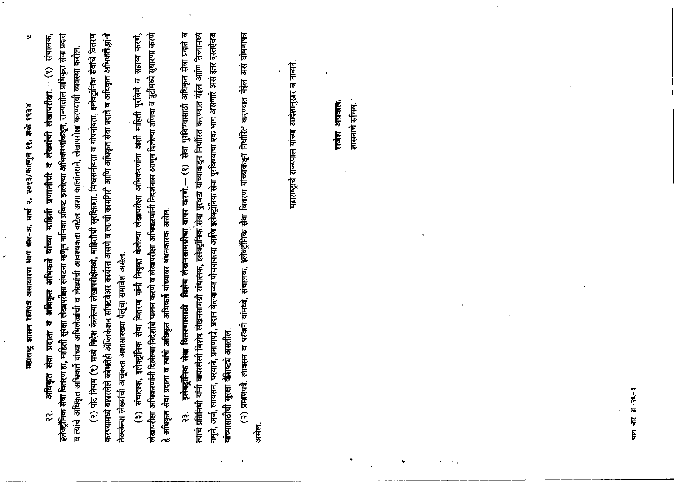महाराष्ट्र शासन राजपत्र असाधारण भाग बार-अ, मार्च २, २०१३/फाल्गुन ११, शके १९३४

 $\mathbf{r}$ 

୭

इलेक्ट्रॉनिक सेवा वितरण हा, माहिती सुरक्षा लेखापरीक्षा संघटना म्हणून नामिका प्रविष्ट झालेल्या अभिकरणांकडून, राज्यातील प्राधिकृत सेवा प्रदाते संचालक, व त्यांचे अधिकृत अभिकर्ते यांच्या अभिलेखांची व लेख्यांची आवश्यकता वाटेल अशा कालांतराने, लेखापरीक्षा करण्याची व्यवस्था करील. अधिकृत सेवा प्रदाता व अधिकृत अभिकर्ते यांच्या माहिती प्रणालीची व लेख्यांची लेखापरीक्षा --- (१) ု့

(२) पोट नियम (१) मध्ये निर्देश केलेल्या लेखापरीक्षेमध्ये, माहितीची सुरक्षितता, विश्वसनीयता व गोपनीयता, इलेक्ट्रॉनिक सेवांचे वितरण करण्यामध्ये वापरलेले कोणतेही अँप्लिकेशन सॉफ्टवेअर कार्यरत असणे व त्याची कामगिरी आणि अधिकृत सेवा प्रदाते व अधिकृत अभिकर्त साने ठेवलेल्या लेख्यांची अचूकता अशासारख्या पैलूंचा समावेश असेल.

लेखाररीक्षा अभिकरणांनी दिलेल्या निदेशांचे पालन करणे व लेखाररीक्षा अभिकरणांनी निदर्शनास आणून दिलेल्या उणिवा व त्रुटीमध्ये सुधारणा करणे (३) संचालक, इलेक्ट्रॅनिक सेवा वितरण यांनी नियुक्त केलेल्या लेखापरीक्षा अभिकरणांना अशी माहिती पुरविणे व सहाय्य करणे, हे अधिकृत सेवा प्रदाता व त्यांचे अधिकृत अभिकर्ते यांच्यावर बंधनकारक असेल. इलेक्ट्रॉनिक सेवा वितरणासाठी विक्रेष लेखनसमग्रीचा वापर करणे.--- (१) सेवा पुरविण्यासाठी अधिकृत सेवा प्रदाते व नमूने, अर्ज, लायसन, परवाने, प्रमाणपत्रे, प्रदान केल्याच्या पोचपावत्या आणि इलेक्ट्रॉनिक सेवा पुरविण्याचा एक भाग असणारे असे इतर दस्तऐवज त्यांचे प्रतिनिधी यांनी वापरलेली विशेष लेखनसामग्री संचालक, इलेक्ट्रॉनिक सेवा पुरवठा यांच्याकडून निर्धारित करण्यात येईल आणि तिच्यामध्ये यांच्यासाठीची सुरक्षा वैशिष्ट्ये असतील. က္ပံ

(२) प्रमाणपत्रे, लायसन व परवाने यांमध्ये, संचालक, इलेक्ट्रॉनिक सेवा वितरण यांच्याकडून निर्धारित करण्यात येईल असे घोषणापत्र ्<br>सम्

महाराष्ट्राचे राज्यपाल यांच्या आदेशानुसार व नावाने,

राजेश अग्रवाल, शासनाचे सचिव.

पाग चार−अ−२६-३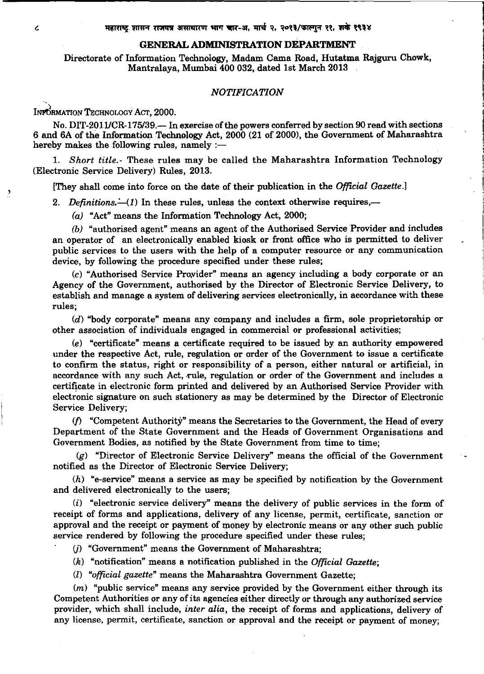#### **GENERAL ADMINISTRATION DEPARTMENT**

Directorate of Information Technology, Madam Cama Road, Hutatma Rajguru Chowk, Mantralaya, Mumbai 400 032, dated 1st March 2013

#### *NOTIFICATION*

INFORMATION TECHNOLOGY ACT, 2000.

No. DIT-2011/CR-175/39. - In exercise of the powers conferred by section 90 read with sections 6 and 6A of the Information Technology Act, 2000 (21 of 2000), the Government of Maharashtra hereby makes the following rules, namely  $:$ -

1. *Short title.-* These rules may be called the Maharashtra Information Technology (Electronic Service Delivery) Rules, 2013.

[They shall come into force on the date of their publication in the *Official Gazette.]* 

2. *Definitions.*  $\dot{-(1)}$  In these rules, unless the context otherwise requires,  $\dot{-}$ 

(a) "Act" means the Information Technology Act, 2000;

*(b)* "authorised agent" means an agent of the Authorised Service Provider and includes an operator of an electronically enabled kiosk or front office who is permitted to deliver public services to the users with the help of a computer resource or any communication device, by following the procedure specified under these rules;

 $(c)$  "Authorised Service Provider" means an agency including a body corporate or an Agency of the Government, authorised by the Director of Electronic Service Delivery, to establish and manage a system of delivering services electronically, in accordance with these rules;

(d) "body corporate" means any company and includes a firm, sole proprietorship or other association of individuals engaged in commercial or professional activities;

(e) "certificate" means a certificate required to be issued by an authority empowered under the respective Act, rule, regulation or order of the Government to issue a certificate to confirm the status, right or responsibility of a person, either natural or artificial, in accordance with any such Act, rule, regulation or order of the Government and includes a certificate in electronic form printed and delivered by an Authorised Service Provider with electronic signature on such stationery as may be determined by the Director of Electronic Service Delivery;

 $(f)$  "Competent Authority" means the Secretaries to the Government, the Head of every Department of the State Government and the Heads of Government Organisations and Government Bodies, as notified by the State Government from time to time;

(g) "Director of Electronic Service Delivery" means the official of the Government notified as the Director of Electronic Service Delivery;

 $(h)$  "e-service" means a service as may be specified by notification by the Government and delivered electronically to the users;

 $(i)$  "electronic service delivery" means the delivery of public services in the form of receipt of forms and applications, delivery of any license, permit, certificate, sanction or approval and the receipt or payment of money by electronic means or any other such public service rendered by following the procedure specified under these rules;

(j) "Government" means the Government of Maharashtra;

*(k)* "notification" means a notification published in the *Official Gazette;* 

(l) *"official gazette"* means the Maharashtra Government Gazette;

 $(m)$  "public service" means any service provided by the Government either through its Competent Authorities or any of its agencies either directly or through any authorized service provider, which shall include, *inter alia,* the receipt of forms and applications, delivery of any license, permit, certificate, sanction or approval and the receipt or payment of money;

 $\overline{c}$ 

'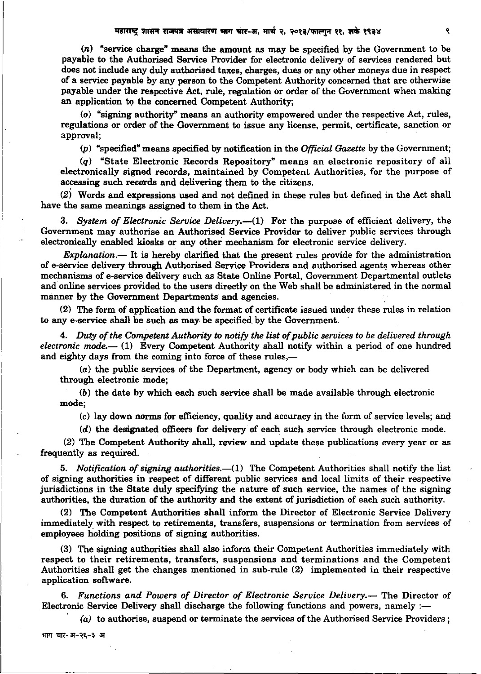$(n)$  "service charge" means the amount as may be specified by the Government to be payable to the Authorised Service Provider for electronic delivery of services rendered but does not include any duly authorised taxes, charges, dues or any other moneys due in respect of a service payable by any person to the Competent Authority concerned that are otherwise payable under the respective Act, rule, regulation or order of the Government when making an application to the concerned Competent Authority;

(o) "signing authority" means an authority empowered under the respective Act, rules, regulations or order of the Government to issue any license, permit, certificate, sanction or approval;

(p) "specified" means specified by notification in the *Official Gazette* by the Government;

(q) "State Electronic Records Repository" means an electronic repository of all electronically signed records, maintained by Competent Authorities, for the purpose of accessing such records and delivering them to the citizens.

 $(2)$  Words and expressions used and not defined in these rules but defined in the Act shall have the same meanings assigned to them in the Act.

3. *System of Electronic Service Delivery.*—(1) For the purpose of efficient delivery, the Government may authorise an Authorised Service Provider to deliver public services through electronically enabled kiosks or any other mechanism for electronic service delivery.

*Explanation.-* It is hereby clarified that the present rules provide for the administration of e-service delivery through Authorised Service Providers and authorised agents whereas other mechanisms of e-service delivery such as State Online Portal, Government Departmental outlets and online services provided to the users directly on the Web shall be administered in the normal manner by the Government Departments and agencies.

(2) The form of application and the format of certificate issued under these rules in relation to any e-service shall be such as may be specified\_ by the Government.

4. *Duty of the Competent Authority to notify the list of public services to be delivered through electronic mode.* - (1) Every Competent Authority shall notify within a period of one hundred and eighty days from the coming into force of these rules,-

(a) the public services of the Department, agency or body which can be delivered through electronic mode;

(b) the date by which each such service shall be made available through electronic mode; ,

(c) lay down norms for efficiency, quality and accuracy in the form of service levels; and

(d) the designated officers for delivery of each such service through electronic mode.

(2) The Competent Authority shall, review and update these publications every year or as frequently as required.

5. *Notification of signing authorities.*-(1) The Competent Authorities shall notify the list of signing authorities in respect of different public services and local limits of their respective jurisdictions in the State duly specifying the nature of such service, the names of the signing authorities, the duration of the authority and the extent of jurisdiction of each such authority.

(2) The Competent Authorities shall inform the Director of Electronic Service Delivery immediately with respect to retirements, transfers, suspensions or termination from services of employees holding positions of signing authorities.

(3) The signing authorities shall also inform their Competent Authorities immediately with respect to their retirements, transfers, suspensions and terminations and the Competent Authorities shall get the changes mentioned in sub-rule (2) implemented in their respective application software.

6. *Functions and Powers of Director of Electronic Service Delivery.-* The Director of Electronic Service Delivery shall discharge the following functions and powers, namely :-

(a) to authorise, suspend or terminate the services of the Authorised Service Providers;

भाग चार-अ-२६-३ अ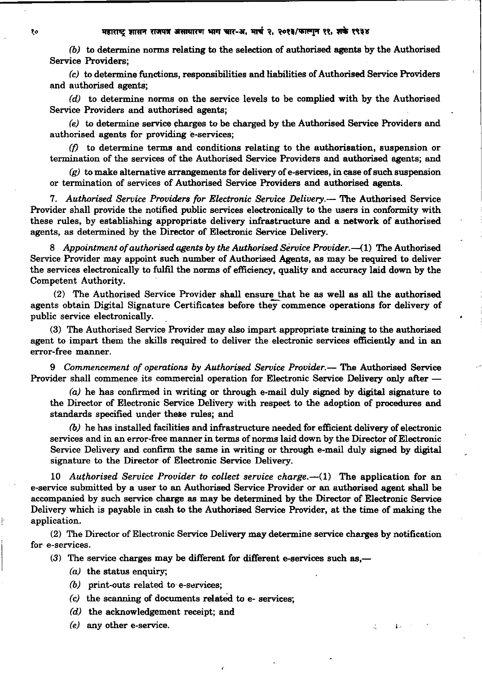*(b)* to determine norms relating to the selection of authorised agents by the Authorised Service Providers;

(c) to determine functions, responsibilities and liabilities of Authorised Service Providers and authorised agents;

(d) to determine norms on the service levels to be complied with by the Authorised Service Providers and authorised agents;

*(e)* to determine service charges to be charged by the Authorised Service Providers and authorised agents for providing e-services;

 $(f)$  to determine terms and conditions relating to the authorisation, suspension or termination of the services of the Authorised Service Providers and authorised agents; and

*(g)* to make alternative arrangements for delivery of e-services, in case of such suspension or termination of services of Authorised Service Providers and authorised agents.

7. *Authorised Service Providers for Electronic Service Delivery.-* The Authorised Service Provider shall provide the notified public services electronically to the users in conformity with these rules, by establishing appropriate delivery infrastructure and a network of authorised agents, as determined by the Director of Electronic Service Delivery.

8 *Appointment of authorised agents by the Authorised Service Provider.* -- (1) The Authorised Service Provider may appoint such number of Authorised Agents, as may be required to deliver the services electronically to fulfil the norms of efficiency, quality and accuracy laid down by the Competent Authority.

(2) The Authorised Service Provider shall ensure that he as well as all the authorised agents obtain Digital Signature Certificates before they commence operations for delivery of public service electronically.

(3) The Authorised Service Provider may also impart appropriate training to the authorised agent to impart them the skills required to deliver the electronic services efficiently and in an error-free manner.

9 *Commencement of operations by Authorised Service Provider.*— The Authorised Service Provider shall commence its commercial operation for Electronic Service Delivery only after -

(a) he has confirmed in writing or through e-mail duly signed by digital signature to the Director of Electronic Service Delivery with respect to the adoption of procedures and standards specified under these rules; and

*(b)* he has installed facilities and infrastructure needed for efficient delivery of electronic services and in an error-free manner in terms of norms laid down by the Director of Electronic Service Delivery and confirm the same in writing or through e-mail duly signed by digitai signature to the Director of Electronic Service Delivery.

10 *Authorised Service Provider to collect service charge.*-(1) The application for an e-service submitted by a user to an Authorised Service Provider or an authorised agent shall be accompanied by such service charge as may be determined by the Director of Electronic Service Delivery which is payable in cash to the Authorised Service Provider, at the time of making the application.

(2) The Director of Electronic Service Delivery may determine service charges by notification for e-services.

 $(3)$  The service charges may be different for different e-services such as,—

- $(a)$  the status enquiry;
- *(b)* print-outs related to e-services;
- (c) the scanning of documents related to e- services;
- (d) the acknowledgement receipt; and
- (e) any other e-service.  $\blacksquare$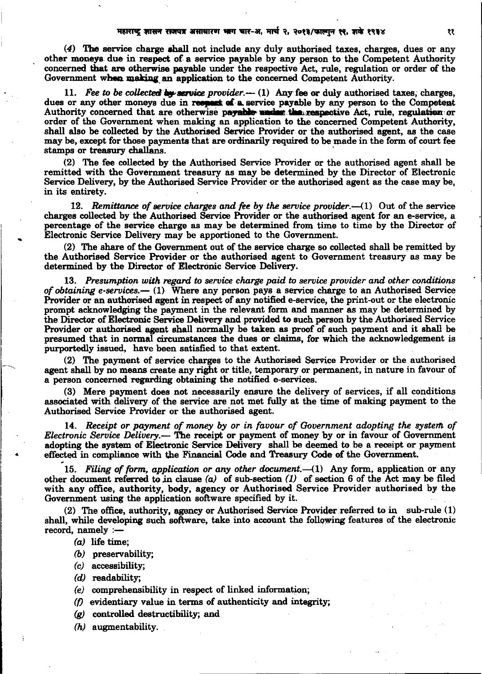(4) The service charge shall not include any duly authorised taxes, charges, dues or any other moneys due in respect of a service payable by any person to the Competent Authority concerned that are otherwise payable under the respective Act, rule, regulation or order of the Government when making an application to the concerned Competent Authority.

11. *Fee to be collected* by service provider. $-$  (1) Any fee or duly authorised taxes; charges, dues or any other moneys due in respect of a service payable by any person to the Competent Authority concerned that are otherwise payable under the respective Act, rule, regulation or order of the Government when making an application to the concerned Competent Authority, shall also be collected by the Authorised Service Provider or the authorised agent, as the case may be, except for those payments that are ordinarily required to be made in the form of court fee stamps or treasury challans.

(2) The fee collected by the Authorised Service Provider or the authorised agent shall be remitted with the Government treasury as may be determined by the Director of Electronic Service Delivery, by the Authorised Service Provider or the authorised agent as the case may be, in its entirety.

12. *Remittance of service charges and fee by the service provider.* $-(1)$  Out of the service charges collected by the Authorised Service Provider or the authorised agent for an a-service, a percentage of the service charge as may be determined from time to time by the Director of Electronic Service Delivery may be apportioned to the Government.

 $(2)$  The share of the Government out of the service charge so collected shall be remitted by the Authorised Service Provider or the authorised agent to Government treasury as may be determined by the Director of Electronic Service Delivery.

13. *Presumption with regard to service charge paid to service provider and other conditions of obtaining e-services.*- (1) Where any person pays a service charge to an Authorised Service Provider or an authorised agent in respect of any notified e-service, the print-out or the electronic prompt acknowledging the payment in the relevant form and manner as may be determined by the Director of Electronic Service Delivery and provided to such person by the Authorised Service Provider or authorised agent shall normally be taken as proof of such payment and it shall be presumed that in normal circumstances the dues or claims, for which the acknowledgement is purportedly issued, have been satisfied to that extent.

(2) The payment of service charges to the Authorised Service Provider or the authorised agent shall by no means create any right or title, temporary or permanent, in nature in favour of a person concerned regarding obtaining the notified e-services.

(3) Mere payment does not necessarily ensure the delivery of services, if all conditions associated with delivery of the service are not met fully at the time of making payment to the Authorised Service Provider or the authorised agent.

14. *Receipt or payment of money by or in favour of Government adopting the system. of Electronic Service Delivery.-* The receipt or payment of money by or in favour of Government adopting the system of Electronic Service Delivery shall be deemed to be a receipt or payment effected in compliance with the Financial Code and Treasury Code of the Government.

15. *Filing of form, application or any other document.*--(1) Any form, application or any other document referred to in clause  $(a)$  of sub-section  $(1)$  of section 6 of the Act may be filed with any office, authority, body, agency or Authorised Service Provider authorised by the Government using the application software specified by it.

(2) The office, authority, agency or Authorised Service Provider referred *to* in sub-rule (1) shall, while developing such software, take into account the following features of the electronic record, namely  $:$ 

(a) life time;

..

- *(b)* preservability;
- *(* c) accessibility;
- *( d)* readability;
- (e) comprehensibility in respect of linked information;
- *(f)* evidentiary value in terms of authenticity and integrity;
- *(g)* controlled destructibility; and
- (h) augmentability.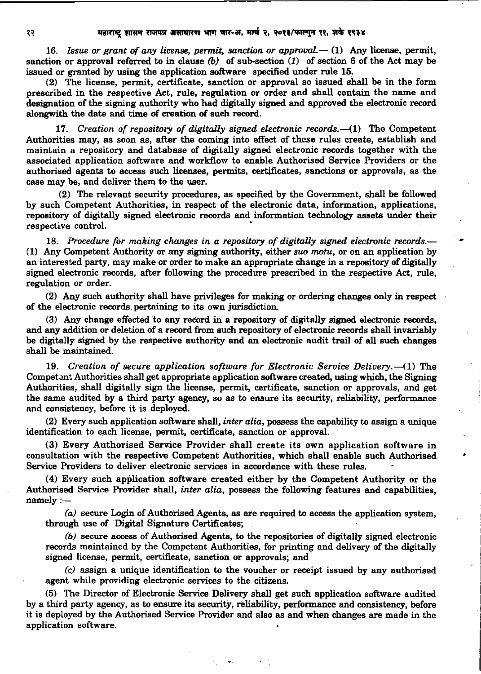16. *Issue or grant of any license, permit, sanction or approval.*— (1) Any license, permit, sanction or approval referred to in clause *(b)* of sub-section (J) of section 6 of the Act may be issued or granted by using the application software specified under rule 15.

(2) The license, permit, certificate, sanction or approval so issued shall be in the form prescribed in the respective Act, rule, regulation or order and shall contain the name and designation of the signing authority who had digitally signed and approved the electronic record alongwith the date and time of creation of such record.

17. *Creation of repository of digitally signed electronic records.-(1)* The Competent Authorities may, as soon as, after the coming into effect of these rules create, establish and maintain a repository and database of digitally signed electronic records together with the associated application software and workflow to enable Authorised Service Providers or the authorised agents to access such licenses, permits, certificates, sanctions or approvals, as the case may be, and deliver them to the user.

(2) The relevant security procedures, as specified by the Government, shall be followed by such Competent Authorities, in respect of the electronic data, information, applications, repository of digitally signed electronic records and information technology assets under their respective control. •

18. Procedure for making changes in a repository of digitally signed electronic records.— (1) Any Competent Authority or any signing authority, either *suo motu,* or on an application by an interested party, may make or order to make an appropriate change in a repository of digitally signed electronic records, after following the procedure prescribed in the respective Act, rule, regulation or order.

(2) Any such authority shall have privileges for making or ordering changes only in respect of the electronic records. pertaining to its own jurisdiction.

(3) Any change effected to any record in a repository of digitally signed electronic records, and any addition or deletion of a record from such repository of electronic records shall invariably be digitally signed by the respective authority and an electronic audit trail of all such changes shall be maintained.

19. *Creation of secure application software for Electronic Service Delivery.*-(1) The Compet ant Authorities shall get appropriate application software created, using which, the Signing Authorities, shall digitally sign the license, permit, certificate, sanction or approvals, and get the same audited by a third party agency, so as to ensure its security, reliability, performance and consistency, before it is deployed.

(2) Every such application software shall, *inter alia,* possess the capability to assign a unique identification to each license, permit, certificate, sanction or approval.

(3) Every Authorised Service Provider shall create its own application software in consultation with the respective Competent Authorities, which shall enable such Authorised Service Providers to deliver electronic services in accordance with these rules.

•

(4) Every such application software created either by the Competent Authority or the Authorised Service Provider shall, *inter alia*, possess the following features and capabilities, namely :-

(a) secure Login of Authorised Agents, as are required to access the application system, through use of Digital Signature Certificates;

*(b)* secure access of Authorised Agents, to the repositories of digitally signed electronic records maintained by the Competent Authorities, for printing and delivery of the digitally signed license, permit, certificate, sanction or approvals; and

(c) assign a unique identification to the voucher or receipt issued by any authorised agent while providing electronic services to the citizens.

(5) The Director of Electronic Service Delivery shall get such application software audited by a third party agency, as to ensure its security, reliability, performance and consistency, before it is deployed by the Authorised Service Provider and also as and when changes are made in the application software.